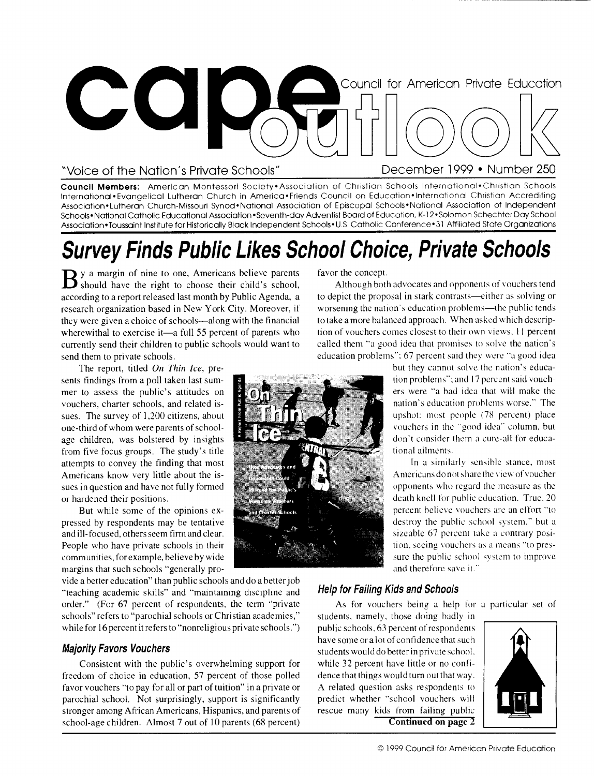

Council Members: American Montessori Society•Association of Christian Schools International•Christian Schools International• Evangelical Lutheran Church in America•Friends Council on Education• International Christian Accrediting Association• Lutheran Church-Missouri Synod•National Association of Episcopal Schools• National Association of Independent Schools• National Catholic Educational Association •Seventh-day Adventist Board of Education, K-12 • Solomon Schechter Day School Association •Toussaint Institute for Historically Black Independent Schools •U.S. Catholic Conference • 31 Affiliated State Organizations

## Survey Finds Public Likes School Choice, Private Schools

B y a margin of nine to one, Americans believe parents<br>Should have the right to choose their child's school, should have the right to choose their child's school, according to a report released last month by Public Agenda, a research organization based in New York City. Moreover, if they were given a choice of schools—along with the financial wherewithal to exercise it—a full 55 percent of parents who currently send their children to public schools would want to send them to private schools.

The report, titled *On Thin Ice,* presents findings from a poll taken last summer to assess the public's attitudes on vouchers, charter schools, and related issues. The survey of 1,200 citizens, about one-third of whom were parents of schoolage children, was bolstered by insights from five focus groups. The study's title attempts to convey the finding that most Americans know very little about the issues in question and have not fully formed or hardened their positions.

But while some of the opinions expressed by respondents may be tentative and ill-focused, others seem firm and clear. People who have private schools in their communities, for example, believe by wide margins that such schools "generally pro-

vide a better education" than public schools and do a better job "teaching academic skills" and "maintaining discipline and order." (For 67 percent of respondents, the term "private schools" refers to "parochial schools or Christian academies," while for 16 percent it refers to "nonreligious private schools.")

#### Majority Favors Vouchers

Consistent with the public's overwhelming support for freedom of choice in education, 57 percent of those polled favor vouchers "to pay for all or part of tuition" in a private or parochial school. Not surprisingly, support is significantly stronger among African Americans, Hispanics, and parents of school-age children. Almost 7 out of 10 parents (68 percent)

favor the concept.

Although both advocates and opponents of vouchers tend to depict the proposal in stark contrasts—either as solving or worsening the nation's education problems—the public tends to take a more balanced approach. When asked which description of vouchers comes closest to their own views. II percent called them "a good idea that promises to solve the nation's education problems": 67 percent said they were "a good idea

but they cannot solve the nation's education problems": and 17 percent said vouchers were "a had idea that will make the nation's education problems worse.' The upshot: most people (78 percent) place vouchers in the "good idea" column, but don't consider them a cure-all for educational ailments.

In a similarly sensible stance, most Americans do not share the view of voucher opponents who regard the measure as the death knell for public education. True. 20 percent believe vouchers are an effort "to destroy the public school system," but a sizeable 67 percent take a contrary position, seeing vouchers as a means "to pressure the public school system to improve and therefore save it."

#### Help for Failing Kids and Schools

As for vouchers being a help for a particular set of students, namely, those doing badly in public schools, 63 percent of respondents have some or a lot of confidence that such students would do better in private school. while 32 percent have little or no confidence that things would turn out that way. A related question asks respondents to predict whether "school vouchers will rescue many kids from failing public **C**ontinued on page



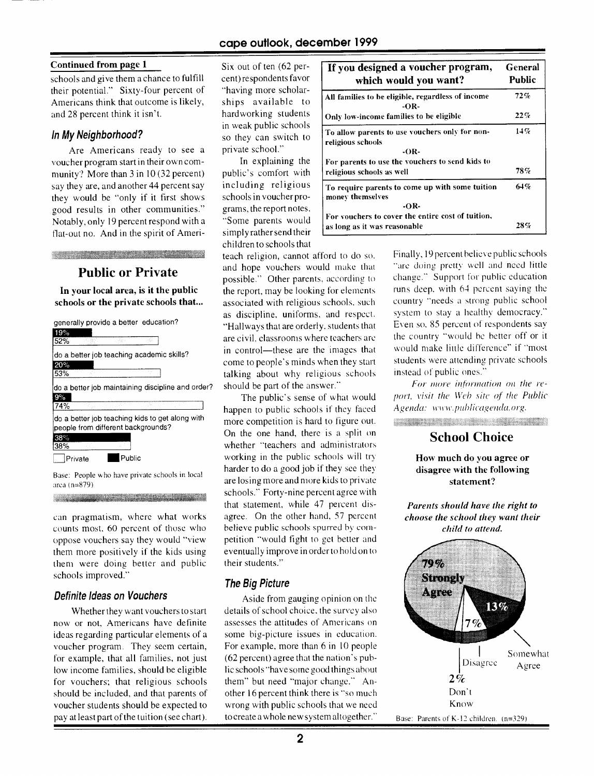#### **Continued from page 1**

schools and give them a chance to fulfill their potential." Sixty-four percent of Americans think that outcome is likely, and 28 percent think it isn't.

#### **In My Neighborhood?**

Are Americans ready to see a voucher program start in their own community? More than 3 in 10 (32 percent) say they are, and another 44 percent say they would be "only if it first shows good results in other communities." Notably, only 19 percent respond with a flat-out no. And in the spirit of Ameri-

<u> 1999 - James Albert Harry Stranger (d. 1989)</u>

#### **Public or Private**

**In your local area, is it the public schools or the private schools that..** 



Base: People who have private schools in local area (n=879) <u> 1989 - Johann Stein, Amerikaansk filozof fan it fjorde fan it fjilder fan it fjorde fan it fjilder fan it fji</u>

can pragmatism, where what works counts most. 60 percent of those who oppose vouchers say they would "view them more positively if the kids using them were doing better and public schools improved."

#### **Definite Ideas on Vouchers**

Whether they want vouchers to start now or not, Americans have definite ideas regarding particular elements of a voucher program. They seem certain, for example, that all families, not just low income families, should be eligible for vouchers; that religious schools should be included, and that parents of voucher students should be expected to pay at least part of the tuition (see chart).

Six out of ten (62 percent) respondents favor "having more scholarships available to hardworking students in weak public schools so they can switch to private school."

In explaining the public's comfort with including religious schools in voucher programs, the report notes, "Some parents would simply rather send their children to schools that

teach religion, cannot afford to do so. and hope vouchers would make that possible." Other parents. according to the report, may be looking for elements associated with religious schools, such as discipline, uniforms, and respect. "Hallways that are orderly, students that are civil, classrooms where teachers are in control—these are the images that come to people's minds when they start talking about why religious schools should be part of the answer."

The public's sense of what would happen to public schools if they faced more competition is hard to figure out. On the one hand, there is a split on whether "teachers and administrators working in the public schools will try harder to do a good job if they see they are losing more and more kids to private schools." Forty-nine percent agree with that statement, while 47 percent disagree. On the other hand, 57 percent believe public schools spurred by competition "would fight to get better and eventually improve in order to hold on to their students."

#### **The Big Picture**

Aside from gauging opinion on the details of school choice, the survey also assesses the attitudes of Americans on some big-picture issues in education. For example, more than 6 in 10 people (62 percent) agree that the nation's public schools "have some good things about them" but need "major change." Another 16 percent think there is "so much wrong with public schools that we need to create a whole new system altogether.'

| If you designed a voucher program,<br>which would you want?                 | General<br>Public |
|-----------------------------------------------------------------------------|-------------------|
| All families to be eligible, regardless of income<br>-OR-                   | 72%               |
| Only low-income families to be eligible                                     | 22%               |
| To allow parents to use vouchers only for non-<br>religious schools<br>-OR- | 14%               |
| For parents to use the vouchers to send kids to                             |                   |
| religious schools as well                                                   | 78%               |
| To require parents to come up with some tuition<br>money themselves<br>-OR- | 64%               |
| For vouchers to cover the entire cost of tuition,                           |                   |
| as long as it was reasonable                                                | 28%               |

Finally, 19 percent believe public schools "are doing pretty well and need little change." Support for public education runs deep. with 64 percent saying the country "needs a strong public school system to stay a healthy democracy." Even so. 85 percent of respondents say the country "would he better off or it would make little difference" if "most students were attending private schools instead of public ones."

For more information on the report, visit the Web site of the Public Agenda: www.publicagenda.org. <u> De Santo de Santo de Santo de Santo de Santo de Santo de Santo de Santo de Santo de Santo de Santo de Santo d</u>

#### **School Choice**

**How much do you agree or disagree with the following statement?** 

*Parents should have the right to choose the school they want their child to attend.* 

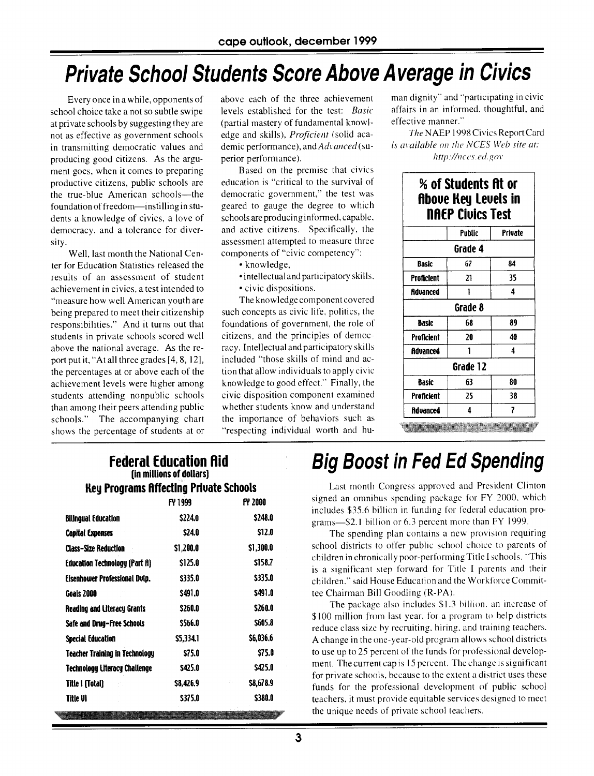## **Private School Students Score Above Average in Civics**

Every once in a while, opponents of school choice take a not so subtle swipe at private schools by suggesting they are not as effective as government schools in transmitting democratic values and producing good citizens. As the argument goes, when it comes to preparing productive citizens, public schools are the true-blue American schools—the foundation of freedom—instilling in students a knowledge of civics, a love of democracy, and a tolerance for diversity.

Well, last month the National Center for Education Statistics released the results of an assessment of student achievement in civics, a test intended to "measure how well American youth are being prepared to meet their citizenship responsibilities." And it turns out that students in private schools scored well above the national average. As the report put it, "At all three grades [4, 8, 12], the percentages at or above each of the achievement levels were higher among students attending nonpublic schools than among their peers attending public schools." The accompanying chart shows the percentage of students at or

above each of the three achievement levels established for the test: *Basic*  (partial mastery of fundamental knowledge and skills), Proficient (solid academic performance), and Advanced (superior performance).

Based on the premise that civics education is "critical to the survival of democratic government," the test was geared to gauge the degree to which schools are producing informed, capable. and active citizens. Specifically, the assessment attempted to measure three components of "civic competency":

- knowledge,
- •intellectual and participatory skills.
- civic dispositions.

The knowledge component covered such concepts as civic life, politics, the foundations of government, the role of citizens, and the principles of democracy. Intellectual and participatory skills included "those skills of mind and action that allow individuals to apply civic knowledge to good effect." Finally, the civic disposition component examined whether students know and understand the importance of behaviors such as "respecting individual worth and hu-

man dignity" and "participating in civic affairs in an informed, thoughtful, and effective manner."

The NAEP 1998 Civics Report Card is available on the NCES Web site at: http://nces.ed.gov

| % of Students At or<br><b>Above Key Levels in</b><br><b>NAEP Civics Test</b> |        |         |  |  |  |
|------------------------------------------------------------------------------|--------|---------|--|--|--|
|                                                                              | Public | Private |  |  |  |
| Grade 4                                                                      |        |         |  |  |  |
| Basic                                                                        | 67     | 84      |  |  |  |
| <b>Proficient</b>                                                            | 21     | 35      |  |  |  |
| Advanced                                                                     |        | 4       |  |  |  |
| Grade 8                                                                      |        |         |  |  |  |
| <b>Basic</b>                                                                 | 68     | 89      |  |  |  |
| Proficient                                                                   | 20     | 40      |  |  |  |
| Advanced                                                                     |        | Δ       |  |  |  |
| Grade 12                                                                     |        |         |  |  |  |
| Basic                                                                        | 63     | 80      |  |  |  |
| <b>Proficient</b>                                                            | 25     | 38      |  |  |  |
| Advanced                                                                     | Δ      | 7       |  |  |  |

|                                               | <b>Federal Education Aid</b><br>(in millions of dollars) |      |
|-----------------------------------------------|----------------------------------------------------------|------|
| <b>Key Programs Affecting Private Schools</b> |                                                          |      |
|                                               | FU 1000                                                  | ณ วเ |

|                                       | FY 1999       | FY 2000         |
|---------------------------------------|---------------|-----------------|
| <b>Bilingual Education</b>            | \$224.0       | \$248.0         |
| <b>Capital Expenses</b>               | S24.0         | \$12.0          |
| <b>Class-Size Reduction</b>           | \$1,200.0     | \$1,300.0       |
| <b>Education Technology (Part A)</b>  | \$125.0       | \$158.7         |
| Eisenhower Professional Dvip.         | \$335.0       | \$335.0         |
| Goals 2000                            | <b>S491.0</b> | S491.0          |
| <b>Reading and Literacy Grants</b>    | \$260.0       | \$260.0         |
| Safe and Drug-Free Schools            | S566.0        | \$605.8         |
| Special Education                     | \$5,334.1     | \$6,036.6       |
| <b>Teacher Training in Technology</b> | S75.0         | <b>S75.0</b>    |
| <b>Technology Literacy Challenge</b>  | S425.0        | \$425.0         |
| <b>Title I (Total)</b>                | \$8,426.9     | n.<br>\$8,678.9 |
| Title VI                              | \$375.0       | S380.0          |
|                                       |               |                 |

## **Big Boost in Fed Ed Spending**

Last month Congress approved and President Clinton signed an omnibus spending package for FY 2000. which includes \$35.6 billion in funding for federal education programs—\$2.l billion or 6.3 percent more than FY 1999.

The spending plan contains a new provision requiring school districts to offer public school choice to parents of children in chronically poor-performing Title I schools. "This is a significant step forward for Title I parents and their children." said House Education and the Workforce Committee Chairman Bill Goodling (R-PA).

The package also includes \$1.3 billion, an increase of \$100 million from last year, for a program to help districts reduce class size by recruiting, hiring, and training teachers. A change in the one-year-old program allows school districts to use up to 25 percent of the funds for professional development. The current cap is 15 percent. The change is significant for private schools, because to the extent a district uses these funds for the professional development of public school teachers, it must provide equitable services designed to meet the unique needs of private school teachers.